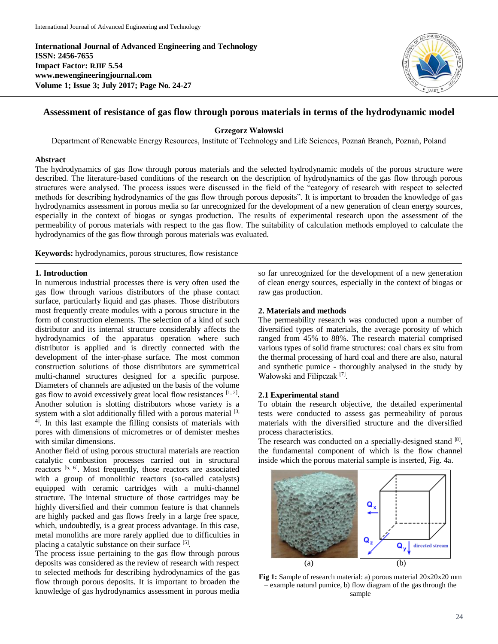**International Journal of Advanced Engineering and Technology ISSN: 2456-7655 Impact Factor: RJIF 5.54 www.newengineeringjournal.com Volume 1; Issue 3; July 2017; Page No. 24-27**



# **Assessment of resistance of gas flow through porous materials in terms of the hydrodynamic model**

**Grzegorz Wałowski**

Department of Renewable Energy Resources, Institute of Technology and Life Sciences, Poznań Branch, Poznań, Poland

# **Abstract**

The hydrodynamics of gas flow through porous materials and the selected hydrodynamic models of the porous structure were described. The literature-based conditions of the research on the description of hydrodynamics of the gas flow through porous structures were analysed. The process issues were discussed in the field of the "category of research with respect to selected methods for describing hydrodynamics of the gas flow through porous deposits". It is important to broaden the knowledge of gas hydrodynamics assessment in porous media so far unrecognized for the development of a new generation of clean energy sources, especially in the context of biogas or syngas production. The results of experimental research upon the assessment of the permeability of porous materials with respect to the gas flow. The suitability of calculation methods employed to calculate the hydrodynamics of the gas flow through porous materials was evaluated.

**Keywords:** hydrodynamics, porous structures, flow resistance

## **1. Introduction**

In numerous industrial processes there is very often used the gas flow through various distributors of the phase contact surface, particularly liquid and gas phases. Those distributors most frequently create modules with a porous structure in the form of construction elements. The selection of a kind of such distributor and its internal structure considerably affects the hydrodynamics of the apparatus operation where such distributor is applied and is directly connected with the development of the inter-phase surface. The most common construction solutions of those distributors are symmetrical multi-channel structures designed for a specific purpose. Diameters of channels are adjusted on the basis of the volume gas flow to avoid excessively great local flow resistances  $[1, 2]$ . Another solution is slotting distributors whose variety is a system with a slot additionally filled with a porous material  $[3,$  $4$ <sup>1</sup>. In this last example the filling consists of materials with pores with dimensions of micrometres or of demister meshes with similar dimensions.

Another field of using porous structural materials are reaction catalytic combustion processes carried out in structural reactors [5, 6]. Most frequently, those reactors are associated with a group of monolithic reactors (so-called catalysts) equipped with ceramic cartridges with a multi-channel structure. The internal structure of those cartridges may be highly diversified and their common feature is that channels are highly packed and gas flows freely in a large free space, which, undoubtedly, is a great process advantage. In this case, metal monoliths are more rarely applied due to difficulties in placing a catalytic substance on their surface [5].

The process issue pertaining to the gas flow through porous deposits was considered as the review of research with respect to selected methods for describing hydrodynamics of the gas flow through porous deposits. It is important to broaden the knowledge of gas hydrodynamics assessment in porous media so far unrecognized for the development of a new generation of clean energy sources, especially in the context of biogas or raw gas production.

#### **2. Materials and methods**

The permeability research was conducted upon a number of diversified types of materials, the average porosity of which ranged from 45% to 88%. The research material comprised various types of solid frame structures: coal chars ex situ from the thermal processing of hard coal and there are also, natural and synthetic pumice - thoroughly analysed in the study by Wałowski and Filipczak<sup>[7]</sup>.

#### **2.1 Experimental stand**

To obtain the research objective, the detailed experimental tests were conducted to assess gas permeability of porous materials with the diversified structure and the diversified process characteristics.

The research was conducted on a specially-designed stand [8], the fundamental component of which is the flow channel inside which the porous material sample is inserted, Fig. 4a.



**Fig 1:** Sample of research material: a) porous material 20x20x20 mm – example natural pumice, b) flow diagram of the gas through the sample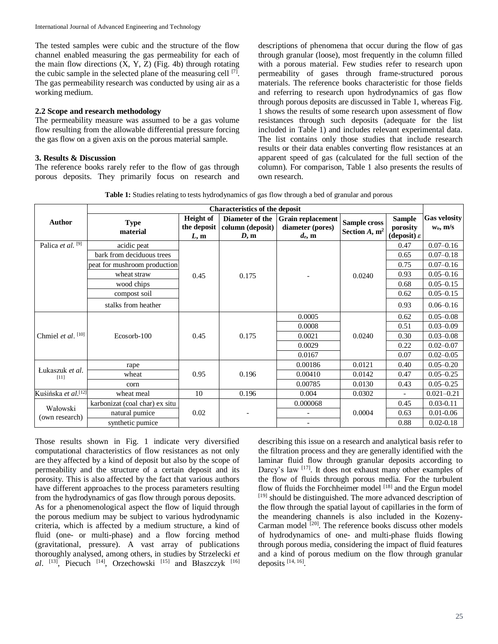The tested samples were cubic and the structure of the flow channel enabled measuring the gas permeability for each of the main flow directions  $(X, Y, Z)$  (Fig. 4b) through rotating the cubic sample in the selected plane of the measuring cell [7]. The gas permeability research was conducted by using air as a working medium.

## **2.2 Scope and research methodology**

The permeability measure was assumed to be a gas volume flow resulting from the allowable differential pressure forcing the gas flow on a given axis on the porous material sample.

## **3. Results & Discussion**

The reference books rarely refer to the flow of gas through porous deposits. They primarily focus on research and descriptions of phenomena that occur during the flow of gas through granular (loose), most frequently in the column filled with a porous material. Few studies refer to research upon permeability of gases through frame-structured porous materials. The reference books characteristic for those fields and referring to research upon hydrodynamics of gas flow through porous deposits are discussed in Table 1, whereas Fig. 1 shows the results of some research upon assessment of flow resistances through such deposits (adequate for the list included in Table 1) and includes relevant experimental data. The list contains only those studies that include research results or their data enables converting flow resistances at an apparent speed of gas (calculated for the full section of the column). For comparison, Table 1 also presents the results of own research.

**Table 1:** Studies relating to tests hydrodynamics of gas flow through a bed of granular and porous

|                                 | <b>Characteristics of the deposit</b> |                                         |                                             |                                                           |                                     |                                                      |                                    |
|---------------------------------|---------------------------------------|-----------------------------------------|---------------------------------------------|-----------------------------------------------------------|-------------------------------------|------------------------------------------------------|------------------------------------|
| Author                          | <b>Type</b><br>material               | <b>Height</b> of<br>the deposit<br>L, m | Diameter of the<br>column (deposit)<br>D, m | <b>Grain replacement</b><br>diameter (pores)<br>$d_e$ , m | Sample cross<br>Section $A$ , $m^2$ | <b>Sample</b><br>porosity<br>(deposit) $\varepsilon$ | <b>Gas velosity</b><br>$w_0$ , m/s |
| Palica et al. <sup>[9]</sup>    | acidic peat                           | 0.45                                    | 0.175                                       |                                                           | 0.0240                              | 0.47                                                 | $0.07 - 0.16$                      |
|                                 | bark from deciduous trees             |                                         |                                             |                                                           |                                     | 0.65                                                 | $0.07 - 0.18$                      |
|                                 | peat for mushroom production          |                                         |                                             |                                                           |                                     | 0.75                                                 | $0.07 - 0.16$                      |
|                                 | wheat straw                           |                                         |                                             |                                                           |                                     | 0.93                                                 | $0.05 - 0.16$                      |
|                                 | wood chips                            |                                         |                                             |                                                           |                                     | 0.68                                                 | $0.05 - 0.15$                      |
|                                 | compost soil                          |                                         |                                             |                                                           |                                     | 0.62                                                 | $0.05 - 0.15$                      |
|                                 | stalks from heather                   |                                         |                                             |                                                           |                                     | 0.93                                                 | $0.06 - 0.16$                      |
| Chmiel et al. $[10]$            | Ecosorb-100                           | 0.45                                    | 0.175                                       | 0.0005                                                    | 0.0240                              | 0.62                                                 | $0.05 - 0.08$                      |
|                                 |                                       |                                         |                                             | 0.0008                                                    |                                     | 0.51                                                 | $0.03 - 0.09$                      |
|                                 |                                       |                                         |                                             | 0.0021                                                    |                                     | 0.30                                                 | $0.03 - 0.08$                      |
|                                 |                                       |                                         |                                             | 0.0029                                                    |                                     | 0.22                                                 | $0.02 - 0.07$                      |
|                                 |                                       |                                         |                                             | 0.0167                                                    |                                     | 0.07                                                 | $0.02 - 0.05$                      |
| Łukaszuk et al.<br>[11]         | rape                                  | 0.95                                    | 0.196                                       | 0.00186                                                   | 0.0121                              | 0.40                                                 | $0.05 - 0.20$                      |
|                                 | wheat                                 |                                         |                                             | 0.00410                                                   | 0.0142                              | 0.47                                                 | $0.05 - 0.25$                      |
|                                 | corn                                  |                                         |                                             | 0.00785                                                   | 0.0130                              | 0.43                                                 | $0.05 - 0.25$                      |
| Kuśińska et al. <sup>[12]</sup> | wheat meal                            | 10                                      | 0.196                                       | 0.004                                                     | 0.0302                              |                                                      | $0.021 - 0.21$                     |
| Wałowski<br>(own research)      | karbonizat (coal char) ex situ        | 0.02                                    |                                             | 0.000068                                                  | 0.0004                              | 0.45                                                 | $0.03 - 0.11$                      |
|                                 | natural pumice                        |                                         |                                             |                                                           |                                     | 0.63                                                 | $0.01 - 0.06$                      |
|                                 | synthetic pumice                      |                                         |                                             |                                                           |                                     | 0.88                                                 | $0.02 - 0.18$                      |

Those results shown in Fig. 1 indicate very diversified computational characteristics of flow resistances as not only are they affected by a kind of deposit but also by the scope of permeability and the structure of a certain deposit and its porosity. This is also affected by the fact that various authors have different approaches to the process parameters resulting from the hydrodynamics of gas flow through porous deposits.

As for a phenomenological aspect the flow of liquid through the porous medium may be subject to various hydrodynamic criteria, which is affected by a medium structure, a kind of fluid (one- or multi-phase) and a flow forcing method (gravitational, pressure). A vast array of publications thoroughly analysed, among others, in studies by Strzelecki *et al*. [13], Piecuch [14], Orzechowski [15] and Błaszczyk [16]

describing this issue on a research and analytical basis refer to the filtration process and they are generally identified with the laminar fluid flow through granular deposits according to Darcy's law <sup>[17]</sup>. It does not exhaust many other examples of the flow of fluids through porous media. For the turbulent flow of fluids the Forchheimer model  $[18]$  and the Ergun model [19] should be distinguished. The more advanced description of the flow through the spatial layout of capillaries in the form of the meandering channels is also included in the Kozeny-Carman model  $[20]$ . The reference books discuss other models of hydrodynamics of one- and multi-phase fluids flowing through porous media, considering the impact of fluid features and a kind of porous medium on the flow through granular deposits [14, 16] .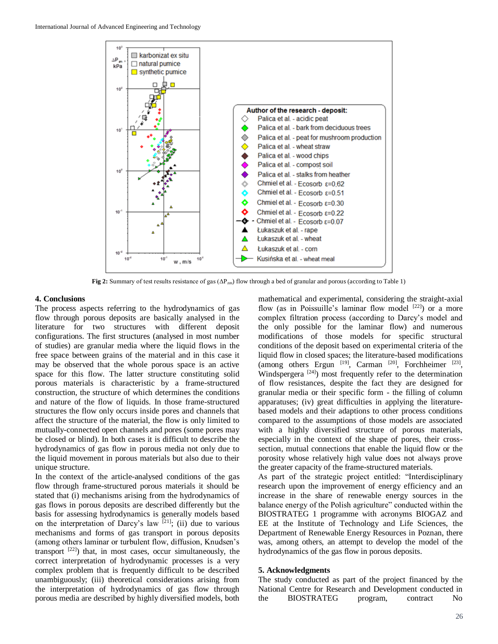

**Fig 2:** Summary of test results resistance of gas (ΔPzm) flow through a bed of granular and porous (according to Table 1)

## **4. Conclusions**

The process aspects referring to the hydrodynamics of gas flow through porous deposits are basically analysed in the literature for two structures with different deposit configurations. The first structures (analysed in most number of studies) are granular media where the liquid flows in the free space between grains of the material and in this case it may be observed that the whole porous space is an active space for this flow. The latter structure constituting solid porous materials is characteristic by a frame-structured construction, the structure of which determines the conditions and nature of the flow of liquids. In those frame-structured structures the flow only occurs inside pores and channels that affect the structure of the material, the flow is only limited to mutually-connected open channels and pores (some pores may be closed or blind). In both cases it is difficult to describe the hydrodynamics of gas flow in porous media not only due to the liquid movement in porous materials but also due to their unique structure.

In the context of the article-analysed conditions of the gas flow through frame-structured porous materials it should be stated that (i) mechanisms arising from the hydrodynamics of gas flows in porous deposits are described differently but the basis for assessing hydrodynamics is generally models based on the interpretation of Darcy's law  $[21]$ ; (ii) due to various mechanisms and forms of gas transport in porous deposits (among others laminar or turbulent flow, diffusion, Knudsen's transport  $[22]$ ) that, in most cases, occur simultaneously, the correct interpretation of hydrodynamic processes is a very complex problem that is frequently difficult to be described unambiguously; (iii) theoretical considerations arising from the interpretation of hydrodynamics of gas flow through porous media are described by highly diversified models, both

mathematical and experimental, considering the straight-axial flow (as in Poissuille's laminar flow model [22]) or a more complex filtration process (according to Darcy's model and the only possible for the laminar flow) and numerous modifications of those models for specific structural conditions of the deposit based on experimental criteria of the liquid flow in closed spaces; the literature-based modifications (among others Ergun  $[19]$ , Carman  $[20]$ , Forchheimer  $[23]$ , Windspergera<sup>[24]</sup>) most frequently refer to the determination of flow resistances, despite the fact they are designed for granular media or their specific form - the filling of column apparatuses; (iv) great difficulties in applying the literaturebased models and their adaptions to other process conditions compared to the assumptions of those models are associated with a highly diversified structure of porous materials, especially in the context of the shape of pores, their crosssection, mutual connections that enable the liquid flow or the porosity whose relatively high value does not always prove the greater capacity of the frame-structured materials.

As part of the strategic project entitled: "Interdisciplinary research upon the improvement of energy efficiency and an increase in the share of renewable energy sources in the balance energy of the Polish agriculture" conducted within the BIOSTRATEG 1 programme with acronyms BIOGAZ and EE at the Institute of Technology and Life Sciences, the Department of Renewable Energy Resources in Poznan, there was, among others, an attempt to develop the model of the hydrodynamics of the gas flow in porous deposits.

#### **5. Acknowledgments**

The study conducted as part of the project financed by the National Centre for Research and Development conducted in the BIOSTRATEG program, contract No